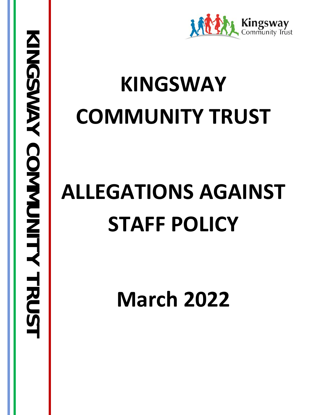

## **KINGSWAY COMMUNITY TRUST**

# **ALLEGATIONS AGAINST STAFF POLICY**

**March 2022**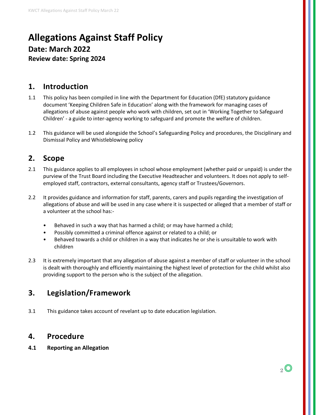## **Allegations Against Staff Policy Date: March 2022 Review date: Spring 2024**

#### **1. Introduction**

- 1.1 This policy has been compiled in line with the Department for Education (DfE) statutory guidance document 'Keeping Children Safe in Education' along with the framework for managing cases of allegations of abuse against people who work with children, set out in 'Working Together to Safeguard Children' - a guide to inter-agency working to safeguard and promote the welfare of children.
- 1.2 This guidance will be used alongside the School's Safeguarding Policy and procedures, the Disciplinary and Dismissal Policy and Whistleblowing policy

### **2. Scope**

- 2.1 This guidance applies to all employees in school whose employment (whether paid or unpaid) is under the purview of the Trust Board including the Executive Headteacher and volunteers. It does not apply to selfemployed staff, contractors, external consultants, agency staff or Trustees/Governors.
- 2.2 It provides guidance and information for staff, parents, carers and pupils regarding the investigation of allegations of abuse and will be used in any case where it is suspected or alleged that a member of staff or a volunteer at the school has:-
	- Behaved in such a way that has harmed a child; or may have harmed a child;
	- Possibly committed a criminal offence against or related to a child; or
	- Behaved towards a child or children in a way that indicates he or she is unsuitable to work with children
- 2.3 It is extremely important that any allegation of abuse against a member of staff or volunteer in the school is dealt with thoroughly and efficiently maintaining the highest level of protection for the child whilst also providing support to the person who is the subject of the allegation.

## **3. Legislation/Framework**

3.1 This guidance takes account of revelant up to date education legislation.

#### **4. Procedure**

**4.1 Reporting an Allegation**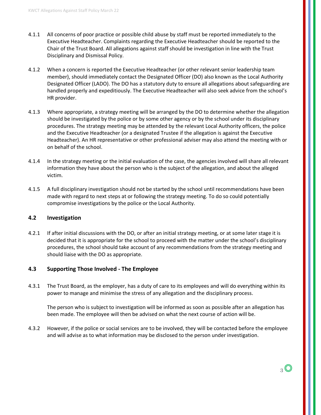- 4.1.1 All concerns of poor practice or possible child abuse by staff must be reported immediately to the Executive Headteacher. Complaints regarding the Executive Headteacher should be reported to the Chair of the Trust Board. All allegations against staff should be investigation in line with the Trust Disciplinary and Dismissal Policy.
- 4.1.2 When a concern is reported the Executive Headteacher (or other relevant senior leadership team member), should immediately contact the Designated Officer (DO) also known as the Local Authority Designated Officer (LADO). The DO has a statutory duty to ensure all allegations about safeguarding are handled properly and expeditiously. The Executive Headteacher will also seek advice from the school's HR provider.
- 4.1.3 Where appropriate, a strategy meeting will be arranged by the DO to determine whether the allegation should be investigated by the police or by some other agency or by the school under its disciplinary procedures. The strategy meeting may be attended by the relevant Local Authority officers, the police and the Executive Headteacher (or a designated Trustee if the allegation is against the Executive Headteacher). An HR representative or other professional adviser may also attend the meeting with or on behalf of the school.
- 4.1.4 In the strategy meeting or the initial evaluation of the case, the agencies involved will share all relevant information they have about the person who is the subject of the allegation, and about the alleged victim.
- 4.1.5 A full disciplinary investigation should not be started by the school until recommendations have been made with regard to next steps at or following the strategy meeting. To do so could potentially compromise investigations by the police or the Local Authority.

#### **4.2 Investigation**

4.2.1 If after initial discussions with the DO, or after an initial strategy meeting, or at some later stage it is decided that it is appropriate for the school to proceed with the matter under the school's disciplinary procedures, the school should take account of any recommendations from the strategy meeting and should liaise with the DO as appropriate.

#### **4.3 Supporting Those Involved - The Employee**

4.3.1 The Trust Board, as the employer, has a duty of care to its employees and will do everything within its power to manage and minimise the stress of any allegation and the disciplinary process.

The person who is subject to investigation will be informed as soon as possible after an allegation has been made. The employee will then be advised on what the next course of action will be.

4.3.2 However, if the police or social services are to be involved, they will be contacted before the employee and will advise as to what information may be disclosed to the person under investigation.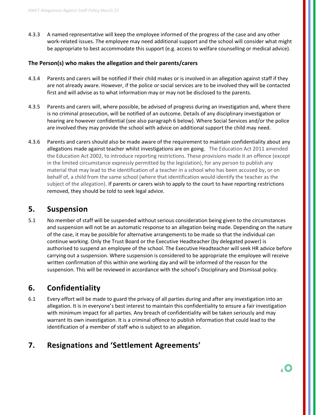4.3.3 A named representative will keep the employee informed of the progress of the case and any other work-related issues. The employee may need additional support and the school will consider what might be appropriate to best accommodate this support (e.g. access to welfare counselling or medical advice).

#### **The Person(s) who makes the allegation and their parents/carers**

- 4.3.4 Parents and carers will be notified if their child makes or is involved in an allegation against staff if they are not already aware. However, if the police or social services are to be involved they will be contacted first and will advise as to what information may or may not be disclosed to the parents.
- 4.3.5 Parents and carers will, where possible, be advised of progress during an investigation and, where there is no criminal prosecution, will be notified of an outcome. Details of any disciplinary investigation or hearing are however confidential (see also paragraph 6 below). Where Social Services and/or the police are involved they may provide the school with advice on additional support the child may need.
- 4.3.6 Parents and carers should also be made aware of the requirement to maintain confidentiality about any allegations made against teacher whilst investigations are on going. The Education Act 2011 amended the Education Act 2002, to introduce reporting restrictions. These provisions made it an offence (except in the limited circumstance expressly permitted by the legislation), for any person to publish any material that may lead to the identification of a teacher in a school who has been accused by, or on behalf of, a child from the same school (where that identification would identify the teacher as the subject of the allegation). If parents or carers wish to apply to the court to have reporting restrictions removed, they should be told to seek legal advice.

#### **5. Suspension**

5.1 No member of staff will be suspended without serious consideration being given to the circumstances and suspension will not be an automatic response to an allegation being made. Depending on the nature of the case, it may be possible for alternative arrangements to be made so that the individual can continue working. Only the Trust Board or the Executive Headteacher (by delegated power) is authorised to suspend an employee of the school. The Executive Headteacher will seek HR advice before carrying out a suspension. Where suspension is considered to be appropriate the employee will receive written confirmation of this within one working day and will be informed of the reason for the suspension. This will be reviewed in accordance with the school's Disciplinary and Dismissal policy.

#### **6. Confidentiality**

6.1 Every effort will be made to guard the privacy of all parties during and after any investigation into an allegation. It is in everyone's best interest to maintain this confidentiality to ensure a fair investigation with minimum impact for all parties. Any breach of confidentiality will be taken seriously and may warrant its own investigation. It is a criminal offence to publish information that could lead to the identification of a member of staff who is subject to an allegation.

#### **7. Resignations and 'Settlement Agreements'**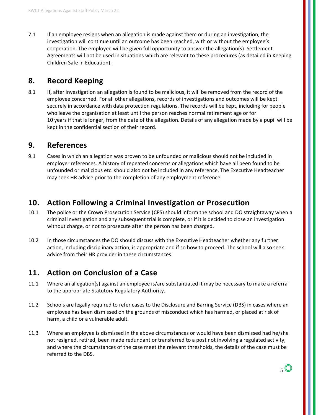7.1 If an employee resigns when an allegation is made against them or during an investigation, the investigation will continue until an outcome has been reached, with or without the employee's cooperation. The employee will be given full opportunity to answer the allegation(s). Settlement Agreements will not be used in situations which are relevant to these procedures (as detailed in Keeping Children Safe in Education).

### **8. Record Keeping**

8.1 If, after investigation an allegation is found to be malicious, it will be removed from the record of the employee concerned. For all other allegations, records of investigations and outcomes will be kept securely in accordance with data protection regulations. The records will be kept, including for people who leave the organisation at least until the person reaches normal retirement age or for 10 years if that is longer, from the date of the allegation. Details of any allegation made by a pupil will be kept in the confidential section of their record.

#### **9. References**

9.1 Cases in which an allegation was proven to be unfounded or malicious should not be included in employer references. A history of repeated concerns or allegations which have all been found to be unfounded or malicious etc. should also not be included in any reference. The Executive Headteacher may seek HR advice prior to the completion of any employment reference.

#### **10. Action Following a Criminal Investigation or Prosecution**

- 10.1 The police or the Crown Prosecution Service (CPS) should inform the school and DO straightaway when a criminal investigation and any subsequent trial is complete, or if it is decided to close an investigation without charge, or not to prosecute after the person has been charged.
- 10.2 In those circumstances the DO should discuss with the Executive Headteacher whether any further action, including disciplinary action, is appropriate and if so how to proceed. The school will also seek advice from their HR provider in these circumstances.

## **11. Action on Conclusion of a Case**

- 11.1 Where an allegation(s) against an employee is/are substantiated it may be necessary to make a referral to the appropriate Statutory Regulatory Authority.
- 11.2 Schools are legally required to refer cases to the Disclosure and Barring Service (DBS) in cases where an employee has been dismissed on the grounds of misconduct which has harmed, or placed at risk of harm, a child or a vulnerable adult.
- 11.3 Where an employee is dismissed in the above circumstances or would have been dismissed had he/she not resigned, retired, been made redundant or transferred to a post not involving a regulated activity, and where the circumstances of the case meet the relevant thresholds, the details of the case must be referred to the DBS.

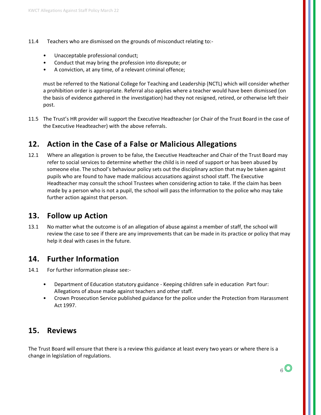- 11.4 Teachers who are dismissed on the grounds of misconduct relating to:-
	- Unacceptable professional conduct;
	- Conduct that may bring the profession into disrepute; or
	- A conviction, at any time, of a relevant criminal offence;

must be referred to the National College for Teaching and Leadership (NCTL) which will consider whether a prohibition order is appropriate. Referral also applies where a teacher would have been dismissed (on the basis of evidence gathered in the investigation) had they not resigned, retired, or otherwise left their post.

11.5 The Trust's HR provider will support the Executive Headteacher (or Chair of the Trust Board in the case of the Executive Headteacher) with the above referrals.

#### **12. Action in the Case of a False or Malicious Allegations**

12.1 Where an allegation is proven to be false, the Executive Headteacher and Chair of the Trust Board may refer to social services to determine whether the child is in need of support or has been abused by someone else. The school's behaviour policy sets out the disciplinary action that may be taken against pupils who are found to have made malicious accusations against school staff. The Executive Headteacher may consult the school Trustees when considering action to take. If the claim has been made by a person who is not a pupil, the school will pass the information to the police who may take further action against that person.

#### **13. Follow up Action**

13.1 No matter what the outcome is of an allegation of abuse against a member of staff, the school will review the case to see if there are any improvements that can be made in its practice or policy that may help it deal with cases in the future.

#### **14. Further Information**

- 14.1 For further information please see:-
	- Department of Education statutory guidance Keeping children safe in education Part four: Allegations of abuse made against teachers and other staff.
	- Crown Prosecution Service published guidance for the police under the Protection from Harassment Act 1997.

#### **15. Reviews**

The Trust Board will ensure that there is a review this guidance at least every two years or where there is a change in legislation of regulations.

 $6\degree$